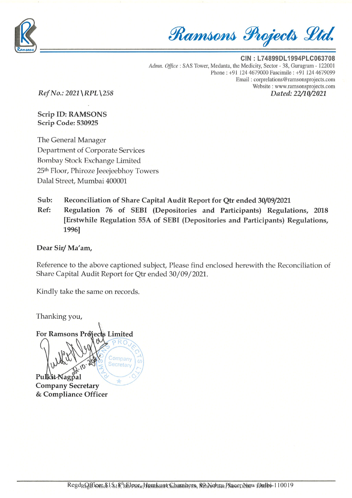

Ramsons Projects Ltd.

CIN : L74899DL1994PLC063708 Admn. Office: SAS Tower, Medanta, the Medicity, Sector - 38, Gurugram - 122001 Phone : +91 124 4679000 Fascimile : +91 124 4679099 Email : corprelations@ramsonsprojects.com Website : www.ramsonsprojects.com Ref No.: 2021\RPL\258 Dated: 22/10/2021

Scrip ID: RAMSONS Scrip Code: <sup>530925</sup>

The General Manager Department of Corporate Services Bombay Stock Exchange Limited 25th Floor, Phiroze Jeeejeebhoy Towers Dalal Street, Mumbai 400001

Sub: Reconciliation of Share Capital Audit Report for Qtr ended 30/09/2021 Ref: Regulation <sup>76</sup> of SEBI (Depositories and Participants) Regulations, <sup>2018</sup> [Erstwhile Regulation 55A of SEBI (Depositories and Participants) Regulations, 1996]

Dear Sir/ Ma'am,

Reference to the above captioned subject, Please find enclosed herewith the Reconciliation of Share Capital Audit Report for Qtr ended 30/09/2021.

Kindly take the same on records.

For Ramsons Projects Limited

Company

Thanking you,

ecretary  $Pu$ Company Secretary : & Compliance Officer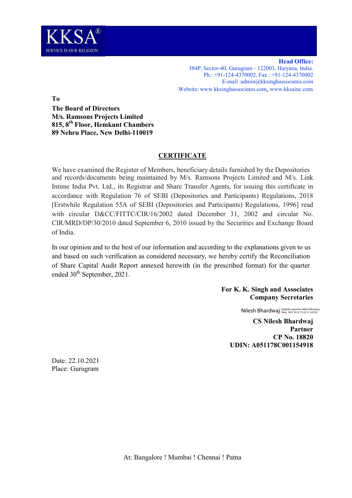

Head Office: 384P, Sector-40, Gurugram - 122003, Haryana, India. Ph.: +91-124-4370002, Fax : +91-124-4370002 E-mail :admin@kksinghassociates.com Website: www.kksinghassociates.com, www.kksainc.com

To

The Board of Directors M/s. Ramsons Projects Limited 815, 8th Floor, Hemkunt Chambers 89 Nehru Place, New Delhi-110019

## **CERTIFICATE**

We have examined the Register of Members, beneficiary details furnished by the Depositories and records/documents being maintained by M/s. Ramsons Projects Limited and M/s. Link Intime India Pvt. Ltd., its Registrar and Share Transfer Agents, for issuing this certificate in accordance with Regulation 76 of SEBI (Depositories and Participants) Regulations, 2018 [Erstwhile Regulation 55A of SEBI (Depositories and Participants) Regulations, 1996] read with circular D&CC/FITTC/CIR/16/2002 dated December 31, 2002 and circular No. CIR/MRD/DP/30/2010 dated September 6, 2010 issued by the Securities and Exchange Board of India.

In our opinion and to the best of our information and according to the explanations given to us and based on such verification as considered necessary, we hereby certify the Reconciliation of Share Capital Audit Report annexed herewith (in the prescribed format) for the quarter ended 30<sup>th</sup> September, 2021.

> For K. K. Singh and Associates Company Secretaries

> > Nilesh Bhardwaj Digitally signed by Nilesh Bhardwaj

CS Nilesh Bhardwaj Partner CP No. 18820 UDIN: A051178C001154918

Date: 22.10.2021 Place: Gurugram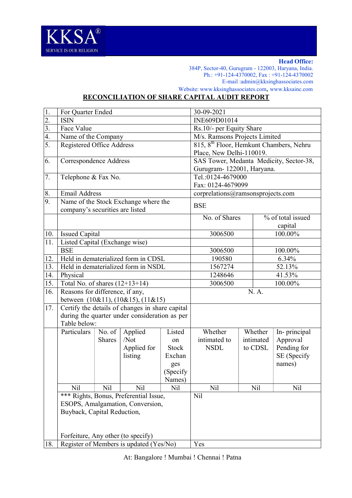

Head Office:

384P, Sector-40, Gurugram - 122003, Haryana, India. Ph.: +91-124-4370002, Fax : +91-124-4370002 E-mail :admin@kksinghassociates.com

## Website: www.kksinghassociates.com, www.kksainc.com RECONCILIATION OF SHARE CAPITAL AUDIT REPORT

| 1.               | For Quarter Ended                                               |                                                 |             |                                                     | 30-09-2021               |        |            |                   |
|------------------|-----------------------------------------------------------------|-------------------------------------------------|-------------|-----------------------------------------------------|--------------------------|--------|------------|-------------------|
| $\overline{2}$ . | <b>ISIN</b>                                                     |                                                 |             |                                                     | INE609D01014             |        |            |                   |
| 3.               | Face Value                                                      |                                                 |             |                                                     | Rs.10/- per Equity Share |        |            |                   |
| 4.               | Name of the Company                                             |                                                 |             | M/s. Ramsons Projects Limited                       |                          |        |            |                   |
| $\overline{5}$ . | Registered Office Address                                       |                                                 |             | 815, 8 <sup>th</sup> Floor, Hemkunt Chambers, Nehru |                          |        |            |                   |
|                  |                                                                 |                                                 |             |                                                     | Place, New Delhi-110019. |        |            |                   |
| 6.               | Correspondence Address                                          |                                                 |             | SAS Tower, Medanta Medicity, Sector-38,             |                          |        |            |                   |
|                  |                                                                 |                                                 |             | Gurugram-122001, Haryana.                           |                          |        |            |                   |
| 7.               | Telephone & Fax No.                                             |                                                 |             | Tel.:0124-4679000                                   |                          |        |            |                   |
|                  |                                                                 |                                                 |             |                                                     | Fax: 0124-4679099        |        |            |                   |
| 8.               | <b>Email Address</b>                                            | corprelations@ramsonsprojects.com               |             |                                                     |                          |        |            |                   |
| 9.               | Name of the Stock Exchange where the                            |                                                 |             | <b>BSE</b>                                          |                          |        |            |                   |
|                  | company's securities are listed                                 |                                                 |             |                                                     |                          |        |            |                   |
|                  |                                                                 |                                                 |             |                                                     | No. of Shares            |        |            | % of total issued |
|                  |                                                                 |                                                 |             |                                                     |                          |        |            | capital           |
| 10.              | <b>Issued Capital</b>                                           |                                                 |             |                                                     | 3006500                  |        |            | 100.00%           |
| 11.              | Listed Capital (Exchange wise)                                  |                                                 |             |                                                     |                          |        |            |                   |
|                  | <b>BSE</b>                                                      |                                                 |             |                                                     | 3006500                  |        |            | 100.00%           |
| 12.              | Held in dematerialized form in CDSL                             |                                                 |             | 190580                                              |                          | 6.34%  |            |                   |
| 13.              | Held in dematerialized form in NSDL                             |                                                 |             | 1567274                                             |                          | 52.13% |            |                   |
| 14.              | Physical                                                        |                                                 | 1248646     |                                                     | 41.53%                   |        |            |                   |
| 15.              | Total No. of shares $(12+13+14)$                                |                                                 | 3006500     |                                                     | 100.00%                  |        |            |                   |
| 16.              | Reasons for difference, if any,                                 |                                                 | N. A.       |                                                     |                          |        |            |                   |
|                  | between $(10&11)$ , $(10&15)$ , $(11&15)$                       |                                                 |             |                                                     |                          |        |            |                   |
| 17.              |                                                                 | Certify the details of changes in share capital |             |                                                     |                          |        |            |                   |
|                  | during the quarter under consideration as per                   |                                                 |             |                                                     |                          |        |            |                   |
|                  | Table below:                                                    |                                                 |             |                                                     |                          |        |            |                   |
|                  | Particulars                                                     | No. of                                          | Applied     | Listed                                              | Whether                  |        | Whether    | In-principal      |
|                  |                                                                 | <b>Shares</b>                                   | /Not        | on                                                  | intimated to             |        | intimated  | Approval          |
|                  |                                                                 |                                                 | Applied for | <b>Stock</b>                                        | <b>NSDL</b>              |        | to CDSL    | Pending for       |
|                  |                                                                 |                                                 | listing     | Exchan                                              |                          |        |            | SE (Specify       |
|                  |                                                                 |                                                 |             | ges                                                 |                          |        |            | names)            |
|                  |                                                                 |                                                 |             | (Specify                                            |                          |        |            |                   |
|                  |                                                                 |                                                 |             | Names)                                              |                          |        |            |                   |
|                  | Nil                                                             | Nil                                             | <b>Nil</b>  | Nil                                                 | Nil                      |        | <b>Nil</b> | Nil               |
|                  | *** Rights, Bonus, Preferential Issue,                          |                                                 | Nil         |                                                     |                          |        |            |                   |
|                  | ESOPS, Amalgamation, Conversion,<br>Buyback, Capital Reduction, |                                                 |             |                                                     |                          |        |            |                   |
|                  |                                                                 |                                                 |             |                                                     |                          |        |            |                   |
|                  |                                                                 |                                                 |             |                                                     |                          |        |            |                   |
|                  | Forfeiture, Any other (to specify)                              |                                                 |             |                                                     |                          |        |            |                   |
| 18.              | Register of Members is updated (Yes/No)                         |                                                 |             |                                                     | Yes                      |        |            |                   |
|                  |                                                                 |                                                 |             |                                                     |                          |        |            |                   |